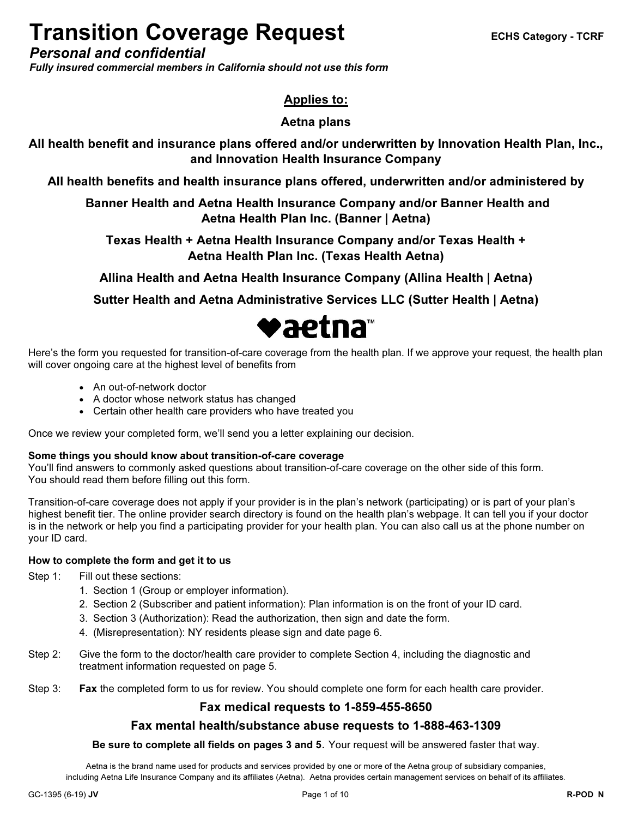# Transition Coverage Request ECHS Category - TCRF

Fully insured commercial members in California should not use this form

## Applies to:

### Aetna plans

All health benefit and insurance plans offered and/or underwritten by Innovation Health Plan, Inc., and Innovation Health Insurance Company

All health benefits and health insurance plans offered, underwritten and/or administered by

### Banner Health and Aetna Health Insurance Company and/or Banner Health and Aetna Health Plan Inc. (Banner | Aetna)

Texas Health + Aetna Health Insurance Company and/or Texas Health + Aetna Health Plan Inc. (Texas Health Aetna)

Allina Health and Aetna Health Insurance Company (Allina Health | Aetna)

Sutter Health and Aetna Administrative Services LLC (Sutter Health | Aetna)



Here's the form you requested for transition-of-care coverage from the health plan. If we approve your request, the health plan will cover ongoing care at the highest level of benefits from

- An out-of-network doctor
- A doctor whose network status has changed
- Certain other health care providers who have treated you

Once we review your completed form, we'll send you a letter explaining our decision.

### Some things you should know about transition-of-care coverage

You'll find answers to commonly asked questions about transition-of-care coverage on the other side of this form. You should read them before filling out this form.

Transition-of-care coverage does not apply if your provider is in the plan's network (participating) or is part of your plan's highest benefit tier. The online provider search directory is found on the health plan's webpage. It can tell you if your doctor is in the network or help you find a participating provider for your health plan. You can also call us at the phone number on your ID card.

### How to complete the form and get it to us

- Step 1: Fill out these sections:
	- 1. Section 1 (Group or employer information).
	- 2. Section 2 (Subscriber and patient information): Plan information is on the front of your ID card.
	- 3. Section 3 (Authorization): Read the authorization, then sign and date the form.
	- 4. (Misrepresentation): NY residents please sign and date page 6.
- Step 2: Give the form to the doctor/health care provider to complete Section 4, including the diagnostic and treatment information requested on page 5.
- Step 3: Fax the completed form to us for review. You should complete one form for each health care provider.

### Fax medical requests to 1-859-455-8650

### Fax mental health/substance abuse requests to 1-888-463-1309

Be sure to complete all fields on pages 3 and 5. Your request will be answered faster that way.

Aetna is the brand name used for products and services provided by one or more of the Aetna group of subsidiary companies, including Aetna Life Insurance Company and its affiliates (Aetna). Aetna provides certain management services on behalf of its affiliates.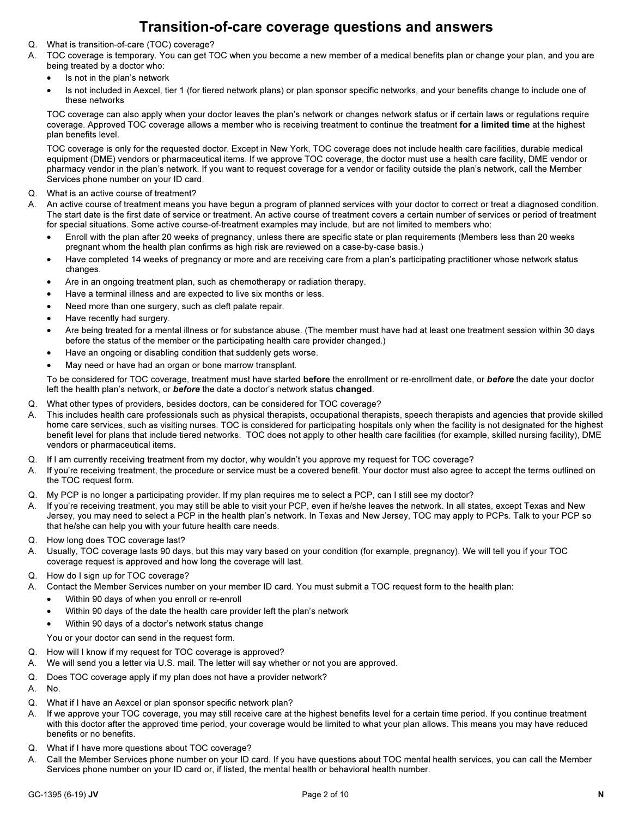# Transition-of-care coverage questions and answers

- Q. What is transition-of-care (TOC) coverage?
- A. TOC coverage is temporary. You can get TOC when you become a new member of a medical benefits plan or change your plan, and you are being treated by a doctor who:
	- $\overline{\phantom{a}}$ Is not in the plan's network
	- $\overline{a}$  Is not included in Aexcel, tier 1 (for tiered network plans) or plan sponsor specific networks, and your benefits change to include one of these networks

TOC coverage can also apply when your doctor leaves the plan's network or changes network status or if certain laws or regulations require coverage. Approved TOC coverage allows a member who is receiving treatment to continue the treatment for a limited time at the highest plan benefits level.

TOC coverage is only for the requested doctor. Except in New York, TOC coverage does not include health care facilities, durable medical equipment (DME) vendors or pharmaceutical items. If we approve TOC coverage, the doctor must use a health care facility, DME vendor or pharmacy vendor in the plan's network. If you want to request coverage for a vendor or facility outside the plan's network, call the Member Services phone number on your ID card.

- Q. What is an active course of treatment?
- A. An active course of treatment means you have begun a program of planned services with your doctor to correct or treat a diagnosed condition. The start date is the first date of service or treatment. An active course of treatment covers a certain number of services or period of treatment for special situations. Some active course-of-treatment examples may include, but are not limited to members who:
	- Enroll with the plan after 20 weeks of pregnancy, unless there are specific state or plan requirements (Members less than 20 weeks pregnant whom the health plan confirms as high risk are reviewed on a case-by-case basis.)
	- $\bullet$  Have completed 14 weeks of pregnancy or more and are receiving care from a plan's participating practitioner whose network status changes.
	- $\overline{a}$ Are in an ongoing treatment plan, such as chemotherapy or radiation therapy.
	- $\overline{a}$ Have a terminal illness and are expected to live six months or less.
	- $\overline{a}$ Need more than one surgery, such as cleft palate repair.
	- $\overline{a}$ Have recently had surgery.
	- $\bullet$  Are being treated for a mental illness or for substance abuse. (The member must have had at least one treatment session within 30 days before the status of the member or the participating health care provider changed.)
	- $\bullet$ Have an ongoing or disabling condition that suddenly gets worse.
	- $\overline{a}$ May need or have had an organ or bone marrow transplant.

To be considered for TOC coverage, treatment must have started before the enrollment or re-enrollment date, or before the date your doctor left the health plan's network, or **before** the date a doctor's network status changed.

- Q. What other types of providers, besides doctors, can be considered for TOC coverage?
- A. This includes health care professionals such as physical therapists, occupational therapists, speech therapists and agencies that provide skilled home care services, such as visiting nurses. TOC is considered for participating hospitals only when the facility is not designated for the highest benefit level for plans that include tiered networks. TOC does not apply to other health care facilities (for example, skilled nursing facility), DME vendors or pharmaceutical items.
- Q. If I am currently receiving treatment from my doctor, why wouldn't you approve my request for TOC coverage?
- A. If you're receiving treatment, the procedure or service must be a covered benefit. Your doctor must also agree to accept the terms outlined on the TOC request form.
- Q. My PCP is no longer a participating provider. If my plan requires me to select a PCP, can I still see my doctor?
- A. If you're receiving treatment, you may still be able to visit your PCP, even if he/she leaves the network. In all states, except Texas and New Jersey, you may need to select a PCP in the health plan's network. In Texas and New Jersey, TOC may apply to PCPs. Talk to your PCP so that he/she can help you with your future health care needs.
- Q. How long does TOC coverage last?
- A. Usually, TOC coverage lasts 90 days, but this may vary based on your condition (for example, pregnancy). We will tell you if your TOC coverage request is approved and how long the coverage will last.
- Q. How do I sign up for TOC coverage?
- A. Contact the Member Services number on your member ID card. You must submit a TOC request form to the health plan:
	- $\overline{\phantom{a}}$ Within 90 days of when you enroll or re-enroll
	- $\overline{a}$ Within 90 days of the date the health care provider left the plan's network
	- $\overline{a}$ Within 90 days of a doctor's network status change

You or your doctor can send in the request form.

- Q. How will I know if my request for TOC coverage is approved?
- A. We will send you a letter via U.S. mail. The letter will say whether or not you are approved.
- Q. Does TOC coverage apply if my plan does not have a provider network?
- A. No.
- Q. What if I have an Aexcel or plan sponsor specific network plan?
- A. If we approve your TOC coverage, you may still receive care at the highest benefits level for a certain time period. If you continue treatment with this doctor after the approved time period, your coverage would be limited to what your plan allows. This means you may have reduced benefits or no benefits.
- Q. What if I have more questions about TOC coverage?
- A. Call the Member Services phone number on your ID card. If you have questions about TOC mental health services, you can call the Member Services phone number on your ID card or, if listed, the mental health or behavioral health number.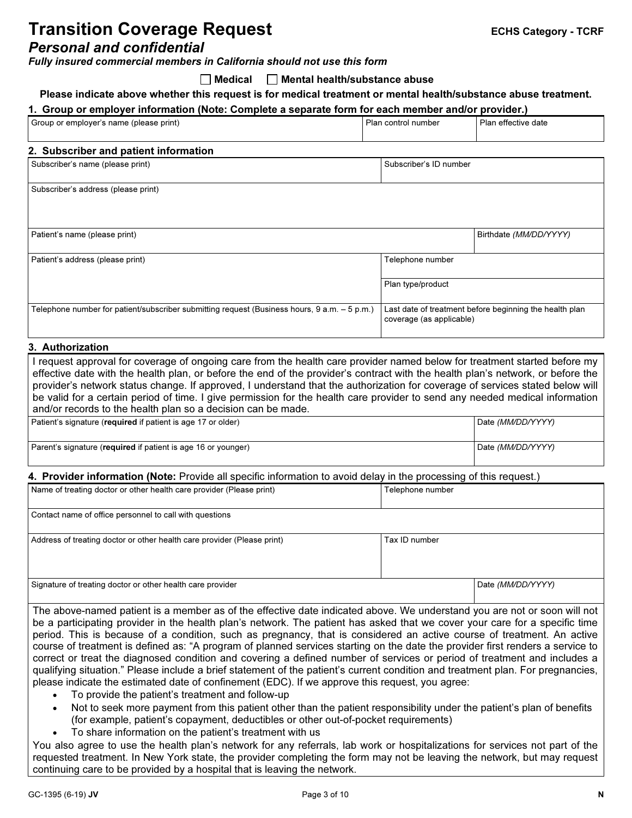# Transition Coverage Request **EXACTER COVERGISTS** ECHS Category - TCRF

# Personal and confidential

Fully insured commercial members in California should not use this form

 $\Box$  Medical  $\Box$  Mental health/substance abuse

#### Please indicate above whether this request is for medical treatment or mental health/substance abuse treatment.

#### 1. Group or employer information (Note: Complete a separate form for each member and/or provider.)

| Group or employer's name (please print)                                                                                                                                                                                                                                                                                                                                                                                                                                                                                                                                                       | Plan control number      | Plan effective date                                     |
|-----------------------------------------------------------------------------------------------------------------------------------------------------------------------------------------------------------------------------------------------------------------------------------------------------------------------------------------------------------------------------------------------------------------------------------------------------------------------------------------------------------------------------------------------------------------------------------------------|--------------------------|---------------------------------------------------------|
| 2. Subscriber and patient information                                                                                                                                                                                                                                                                                                                                                                                                                                                                                                                                                         |                          |                                                         |
| Subscriber's name (please print)                                                                                                                                                                                                                                                                                                                                                                                                                                                                                                                                                              | Subscriber's ID number   |                                                         |
| Subscriber's address (please print)                                                                                                                                                                                                                                                                                                                                                                                                                                                                                                                                                           |                          |                                                         |
| Patient's name (please print)                                                                                                                                                                                                                                                                                                                                                                                                                                                                                                                                                                 |                          | Birthdate (MM/DD/YYYY)                                  |
| Patient's address (please print)                                                                                                                                                                                                                                                                                                                                                                                                                                                                                                                                                              | Telephone number         |                                                         |
|                                                                                                                                                                                                                                                                                                                                                                                                                                                                                                                                                                                               | Plan type/product        |                                                         |
| Telephone number for patient/subscriber submitting request (Business hours, $9 a.m. - 5 p.m.$ )                                                                                                                                                                                                                                                                                                                                                                                                                                                                                               | coverage (as applicable) | Last date of treatment before beginning the health plan |
| 3. Authorization                                                                                                                                                                                                                                                                                                                                                                                                                                                                                                                                                                              |                          |                                                         |
| I request approval for coverage of ongoing care from the health care provider named below for treatment started before my<br>effective date with the health plan, or before the end of the provider's contract with the health plan's network, or before the<br>provider's network status change. If approved, I understand that the authorization for coverage of services stated below will<br>be valid for a certain period of time. I give permission for the health care provider to send any needed medical information<br>and/or records to the health plan so a decision can be made. |                          |                                                         |
| Patient's signature (required if patient is age 17 or older)                                                                                                                                                                                                                                                                                                                                                                                                                                                                                                                                  |                          | Date (MM/DD/YYYY)                                       |
| Parent's signature (required if patient is age 16 or younger)                                                                                                                                                                                                                                                                                                                                                                                                                                                                                                                                 |                          | Date (MM/DD/YYYY)                                       |

### 4. Provider information (Note: Provide all specific information to avoid delay in the processing of this request.)

| Name of treating doctor or other health care provider (Please print)    | Telephone number |                   |
|-------------------------------------------------------------------------|------------------|-------------------|
| Contact name of office personnel to call with questions                 |                  |                   |
| Address of treating doctor or other health care provider (Please print) | Tax ID number    |                   |
| Signature of treating doctor or other health care provider              |                  | Date (MM/DD/YYYY) |

The above-named patient is a member as of the effective date indicated above. We understand you are not or soon will not be a participating provider in the health plan's network. The patient has asked that we cover your care for a specific time period. This is because of a condition, such as pregnancy, that is considered an active course of treatment. An active course of treatment is defined as: "A program of planned services starting on the date the provider first renders a service to correct or treat the diagnosed condition and covering a defined number of services or period of treatment and includes a qualifying situation." Please include a brief statement of the patient's current condition and treatment plan. For pregnancies, please indicate the estimated date of confinement (EDC). If we approve this request, you agree:

- $\bullet$  To provide the patient's treatment and follow-up  $\overline{a}$ 
	- Not to seek more payment from this patient other than the patient responsibility under the patient's plan of benefits (for example, patient's copayment, deductibles or other out-of-pocket requirements)
- $\overline{a}$ To share information on the patient's treatment with us

You also agree to use the health plan's network for any referrals, lab work or hospitalizations for services not part of the requested treatment. In New York state, the provider completing the form may not be leaving the network, but may request continuing care to be provided by a hospital that is leaving the network.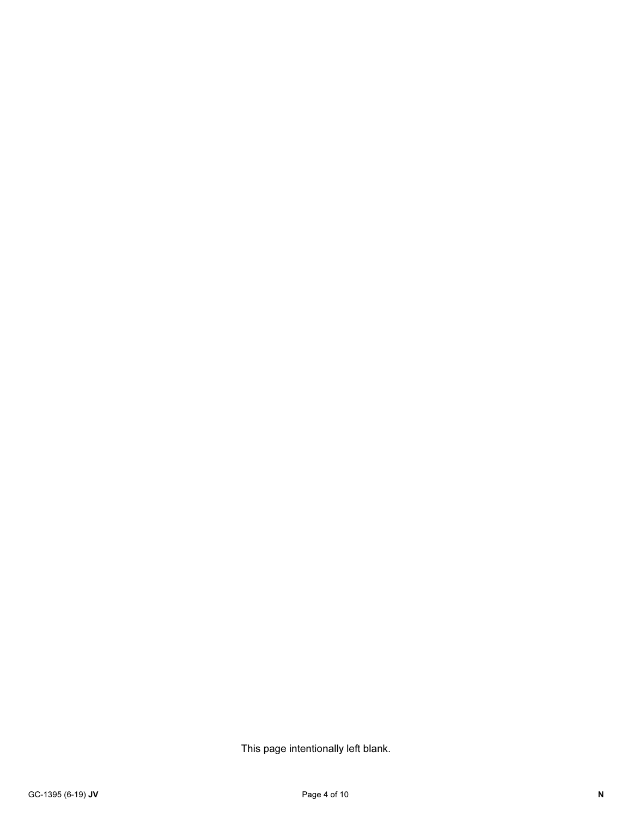This page intentionally left blank.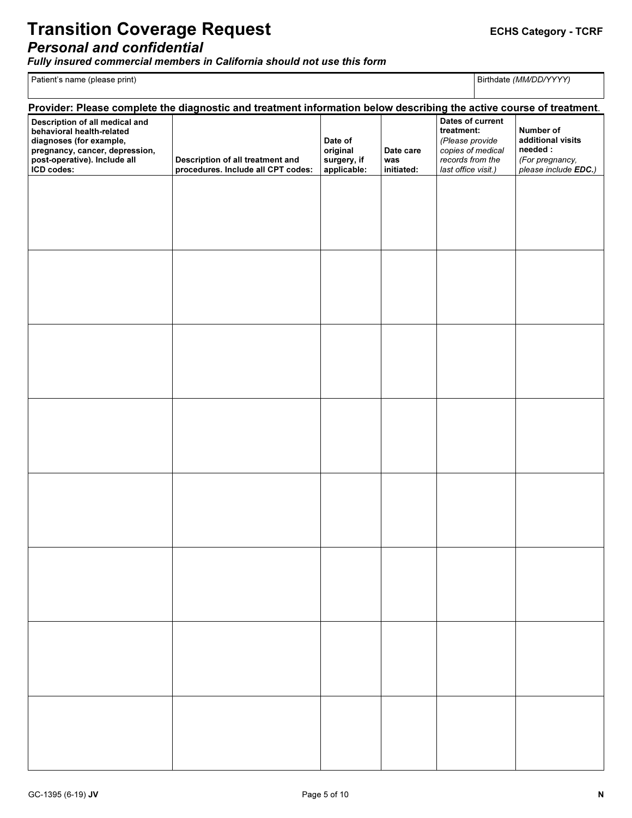# Transition Coverage Request **EXACTS CONSIDENT** ECHS Category - TCRF Personal and confidential

Fully insured commercial members in California should not use this form

Patient's name (please print)

Birthdate (MM/DD/YYYY)

|                                                                                                                                                                        | Provider: Please complete the diagnostic and treatment information below describing the active course of treatment. |                                                   |                                |                                                                                                                   |                                                                                      |
|------------------------------------------------------------------------------------------------------------------------------------------------------------------------|---------------------------------------------------------------------------------------------------------------------|---------------------------------------------------|--------------------------------|-------------------------------------------------------------------------------------------------------------------|--------------------------------------------------------------------------------------|
| Description of all medical and<br>behavioral health-related<br>diagnoses (for example,<br>pregnancy, cancer, depression,<br>post-operative). Include all<br>ICD codes: | Description of all treatment and<br>procedures. Include all CPT codes:                                              | Date of<br>original<br>surgery, if<br>applicable: | Date care<br>was<br>initiated: | Dates of current<br>treatment:<br>(Please provide<br>copies of medical<br>records from the<br>last office visit.) | Number of<br>additional visits<br>needed:<br>(For pregnancy,<br>please include EDC.) |
|                                                                                                                                                                        |                                                                                                                     |                                                   |                                |                                                                                                                   |                                                                                      |
|                                                                                                                                                                        |                                                                                                                     |                                                   |                                |                                                                                                                   |                                                                                      |
|                                                                                                                                                                        |                                                                                                                     |                                                   |                                |                                                                                                                   |                                                                                      |
|                                                                                                                                                                        |                                                                                                                     |                                                   |                                |                                                                                                                   |                                                                                      |
|                                                                                                                                                                        |                                                                                                                     |                                                   |                                |                                                                                                                   |                                                                                      |
|                                                                                                                                                                        |                                                                                                                     |                                                   |                                |                                                                                                                   |                                                                                      |
|                                                                                                                                                                        |                                                                                                                     |                                                   |                                |                                                                                                                   |                                                                                      |
|                                                                                                                                                                        |                                                                                                                     |                                                   |                                |                                                                                                                   |                                                                                      |
|                                                                                                                                                                        |                                                                                                                     |                                                   |                                |                                                                                                                   |                                                                                      |
|                                                                                                                                                                        |                                                                                                                     |                                                   |                                |                                                                                                                   |                                                                                      |
|                                                                                                                                                                        |                                                                                                                     |                                                   |                                |                                                                                                                   |                                                                                      |
|                                                                                                                                                                        |                                                                                                                     |                                                   |                                |                                                                                                                   |                                                                                      |
|                                                                                                                                                                        |                                                                                                                     |                                                   |                                |                                                                                                                   |                                                                                      |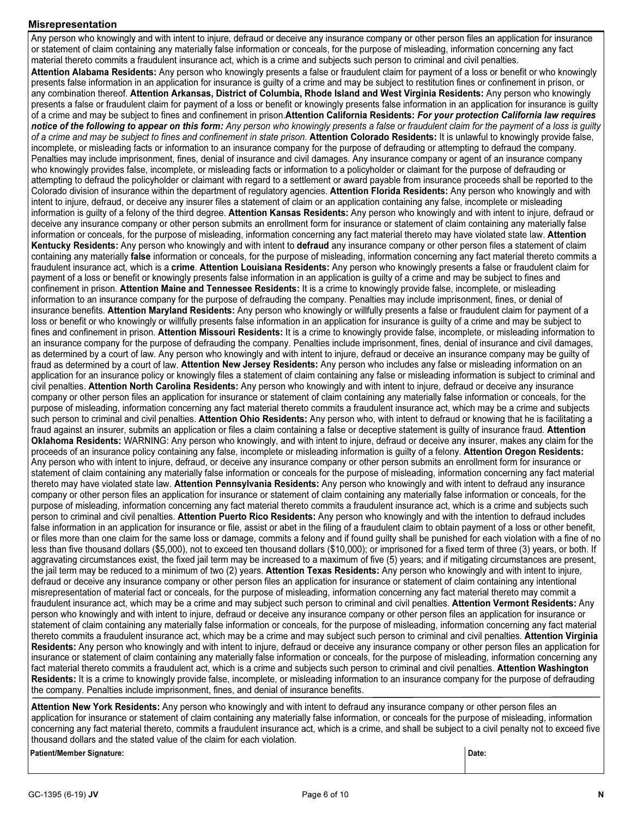#### Misrepresentation

Any person who knowingly and with intent to injure, defraud or deceive any insurance company or other person files an application for insurance or statement of claim containing any materially false information or conceals, for the purpose of misleading, information concerning any fact material thereto commits a fraudulent insurance act, which is a crime and subjects such person to criminal and civil penalties. Attention Alabama Residents: Any person who knowingly presents a false or fraudulent claim for payment of a loss or benefit or who knowingly presents false information in an application for insurance is guilty of a crime and may be subject to restitution fines or confinement in prison, or any combination thereof. Attention Arkansas, District of Columbia, Rhode Island and West Virginia Residents: Any person who knowingly presents a false or fraudulent claim for payment of a loss or benefit or knowingly presents false information in an application for insurance is guilty of a crime and may be subject to fines and confinement in prison.Attention California Residents: For your protection California law requires notice of the following to appear on this form: Any person who knowingly presents a false or fraudulent claim for the payment of a loss is guilty of a crime and may be subject to fines and confinement in state prison. Attention Colorado Residents: It is unlawful to knowingly provide false, incomplete, or misleading facts or information to an insurance company for the purpose of defrauding or attempting to defraud the company. Penalties may include imprisonment, fines, denial of insurance and civil damages. Any insurance company or agent of an insurance company who knowingly provides false, incomplete, or misleading facts or information to a policyholder or claimant for the purpose of defrauding or attempting to defraud the policyholder or claimant with regard to a settlement or award payable from insurance proceeds shall be reported to the Colorado division of insurance within the department of regulatory agencies. Attention Florida Residents: Any person who knowingly and with intent to injure, defraud, or deceive any insurer files a statement of claim or an application containing any false, incomplete or misleading information is guilty of a felony of the third degree. Attention Kansas Residents: Any person who knowingly and with intent to injure, defraud or deceive any insurance company or other person submits an enrollment form for insurance or statement of claim containing any materially false information or conceals, for the purpose of misleading, information concerning any fact material thereto may have violated state law. Attention Kentucky Residents: Any person who knowingly and with intent to defraud any insurance company or other person files a statement of claim containing any materially false information or conceals, for the purpose of misleading, information concerning any fact material thereto commits a fraudulent insurance act, which is a crime. Attention Louisiana Residents: Any person who knowingly presents a false or fraudulent claim for payment of a loss or benefit or knowingly presents false information in an application is guilty of a crime and may be subject to fines and confinement in prison. Attention Maine and Tennessee Residents: It is a crime to knowingly provide false, incomplete, or misleading information to an insurance company for the purpose of defrauding the company. Penalties may include imprisonment, fines, or denial of insurance benefits. Attention Maryland Residents: Any person who knowingly or willfully presents a false or fraudulent claim for payment of a loss or benefit or who knowingly or willfully presents false information in an application for insurance is guilty of a crime and may be subject to fines and confinement in prison. Attention Missouri Residents: It is a crime to knowingly provide false, incomplete, or misleading information to an insurance company for the purpose of defrauding the company. Penalties include imprisonment, fines, denial of insurance and civil damages, as determined by a court of law. Any person who knowingly and with intent to injure, defraud or deceive an insurance company may be guilty of fraud as determined by a court of law. Attention New Jersey Residents: Any person who includes any false or misleading information on an application for an insurance policy or knowingly files a statement of claim containing any false or misleading information is subject to criminal and civil penalties. Attention North Carolina Residents: Any person who knowingly and with intent to injure, defraud or deceive any insurance company or other person files an application for insurance or statement of claim containing any materially false information or conceals, for the purpose of misleading, information concerning any fact material thereto commits a fraudulent insurance act, which may be a crime and subjects such person to criminal and civil penalties. Attention Ohio Residents: Any person who, with intent to defraud or knowing that he is facilitating a fraud against an insurer, submits an application or files a claim containing a false or deceptive statement is guilty of insurance fraud. Attention Oklahoma Residents: WARNING: Any person who knowingly, and with intent to injure, defraud or deceive any insurer, makes any claim for the proceeds of an insurance policy containing any false, incomplete or misleading information is guilty of a felony. Attention Oregon Residents: Any person who with intent to injure, defraud, or deceive any insurance company or other person submits an enrollment form for insurance or statement of claim containing any materially false information or conceals for the purpose of misleading, information concerning any fact material thereto may have violated state law. Attention Pennsylvania Residents: Any person who knowingly and with intent to defraud any insurance company or other person files an application for insurance or statement of claim containing any materially false information or conceals, for the purpose of misleading, information concerning any fact material thereto commits a fraudulent insurance act, which is a crime and subjects such person to criminal and civil penalties. Attention Puerto Rico Residents: Any person who knowingly and with the intention to defraud includes false information in an application for insurance or file, assist or abet in the filing of a fraudulent claim to obtain payment of a loss or other benefit, or files more than one claim for the same loss or damage, commits a felony and if found guilty shall be punished for each violation with a fine of no less than five thousand dollars (\$5,000), not to exceed ten thousand dollars (\$10,000); or imprisoned for a fixed term of three (3) years, or both. If aggravating circumstances exist, the fixed jail term may be increased to a maximum of five (5) years; and if mitigating circumstances are present, the jail term may be reduced to a minimum of two (2) years. Attention Texas Residents: Any person who knowingly and with intent to injure, defraud or deceive any insurance company or other person files an application for insurance or statement of claim containing any intentional misrepresentation of material fact or conceals, for the purpose of misleading, information concerning any fact material thereto may commit a fraudulent insurance act, which may be a crime and may subject such person to criminal and civil penalties. Attention Vermont Residents: Any person who knowingly and with intent to injure, defraud or deceive any insurance company or other person files an application for insurance or statement of claim containing any materially false information or conceals, for the purpose of misleading, information concerning any fact material thereto commits a fraudulent insurance act, which may be a crime and may subject such person to criminal and civil penalties. Attention Virginia Residents: Any person who knowingly and with intent to injure, defraud or deceive any insurance company or other person files an application for insurance or statement of claim containing any materially false information or conceals, for the purpose of misleading, information concerning any fact material thereto commits a fraudulent act, which is a crime and subjects such person to criminal and civil penalties. Attention Washington Residents: It is a crime to knowingly provide false, incomplete, or misleading information to an insurance company for the purpose of defrauding the company. Penalties include imprisonment, fines, and denial of insurance benefits.

Attention New York Residents: Any person who knowingly and with intent to defraud any insurance company or other person files an application for insurance or statement of claim containing any materially false information, or conceals for the purpose of misleading, information concerning any fact material thereto, commits a fraudulent insurance act, which is a crime, and shall be subject to a civil penalty not to exceed five thousand dollars and the stated value of the claim for each violation.

Patient/Member Signature: Date: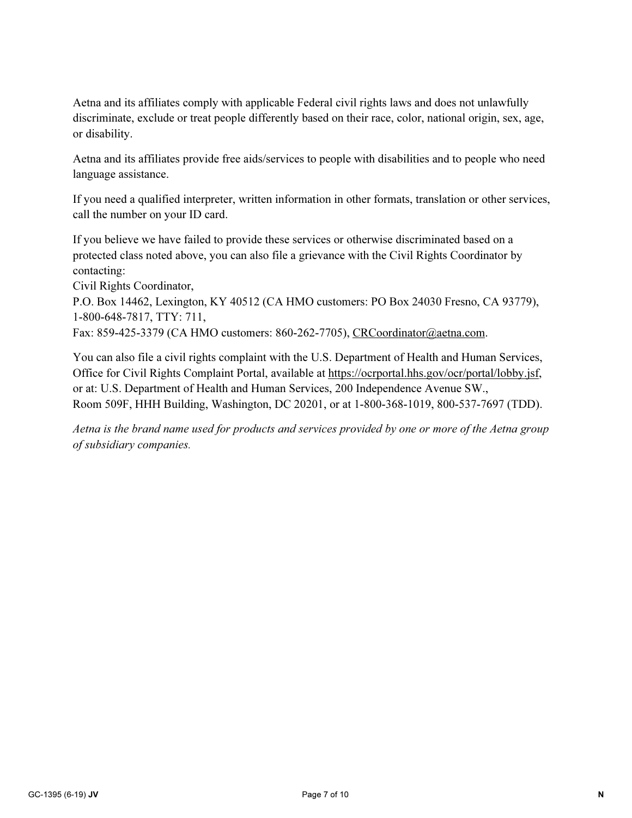Aetna and its affiliates comply with applicable Federal civil rights laws and does not unlawfully discriminate, exclude or treat people differently based on their race, color, national origin, sex, age, or disability.

Aetna and its affiliates provide free aids/services to people with disabilities and to people who need language assistance.

If you need a qualified interpreter, written information in other formats, translation or other services, call the number on your ID card.

If you believe we have failed to provide these services or otherwise discriminated based on a protected class noted above, you can also file a grievance with the Civil Rights Coordinator by contacting:

Civil Rights Coordinator,

P.O. Box 14462, Lexington, KY 40512 (CA HMO customers: PO Box 24030 Fresno, CA 93779), 1-800-648-7817, TTY: 711,

Fax: 859-425-3379 (CA HMO customers: 860-262-7705), CRCoordinator@aetna.com.

You can also file a civil rights complaint with the U.S. Department of Health and Human Services, Office for Civil Rights Complaint Portal, available at https://ocrportal.hhs.gov/ocr/portal/lobby.jsf, or at: U.S. Department of Health and Human Services, 200 Independence Avenue SW., Room 509F, HHH Building, Washington, DC 20201, or at 1-800-368-1019, 800-537-7697 (TDD).

Aetna is the brand name used for products and services provided by one or more of the Aetna group of subsidiary companies.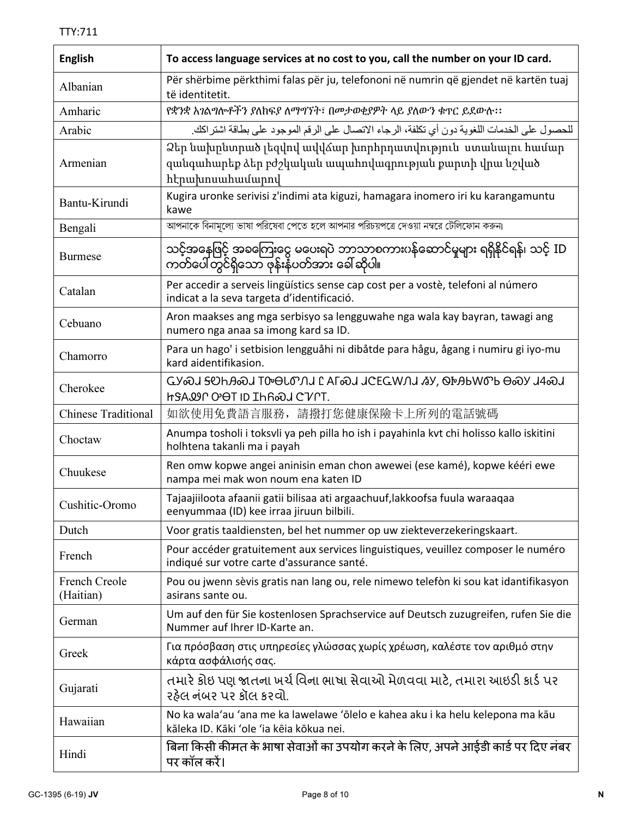| <b>English</b>             | To access language services at no cost to you, call the number on your ID card.                                                            |
|----------------------------|--------------------------------------------------------------------------------------------------------------------------------------------|
| Albanian                   | Për shërbime përkthimi falas për ju, telefononi në numrin që gjendet në kartën tuaj<br>të identitetit.                                     |
| Amharic                    | የቋንቋ አገልግሎቶችን ያለከፍያ ለማግኘት፣ በመታወቂያዎት ላይ ያለውን ቁጥር ይደውሱ፡፡                                                                                     |
| Arabic                     | للحصول على الخدمات اللغوية دون أي تكلفة، الرجاء الاتصال على الرقم الموجود على بطاقة اشتر اكك.                                              |
| Armenian                   | Ձեր նախընտրած լեզվով ավվձար խորհրդատվություն ստանալու համար<br>զանգահարեք ձեր բժշկական ապահովագրության քարտի վրա նշված<br>htpwhnuwhwutupny |
| Bantu-Kirundi              | Kugira uronke serivisi z'indimi ata kiguzi, hamagara inomero iri ku karangamuntu<br>kawe                                                   |
| Bengali                    | আপনাকে বিনামূল্যে ভাষা পরিষেবা পেতে হলে আপনার পরিচয়পত্রে দেওয়া নম্বরে টেলিফোন করুনা                                                      |
| <b>Burmese</b>             | သင့်အနေဖြင့် အစကြေးငွေ မပေးရပဲ ဘာသာစကားပန်ဆောင်မှုများ ရရှိနိုင်ရန်၊ သင့် ID<br>ကတ်ပေါ်တွင်ရှိသော ဖုန်းနံပတ်အား ခေါ်ဆိုပါ။                 |
| Catalan                    | Per accedir a serveis lingüístics sense cap cost per a vostè, telefoni al número<br>indicat a la seva targeta d'identificació.             |
| Cebuano                    | Aron maakses ang mga serbisyo sa lengguwahe nga wala kay bayran, tawagi ang<br>numero nga anaa sa imong kard sa ID.                        |
| Chamorro                   | Para un hago' i setbision lengguåhi ni dibåtde para hågu, ågang i numiru gi iyo-mu<br>kard aidentifikasion.                                |
| Cherokee                   | GY�J <del>S</del> OHA�J IDOLOJI LAL�J JCEGWJJ IY, OPAPMOP O�J 14�J<br><b>hSAQIP OOT ID IHR&amp;J CVPT.</b>                                 |
| <b>Chinese Traditional</b> | 如欲使用免費語言服務,請撥打您健康保險卡上所列的電話號碼                                                                                                               |
| Choctaw                    | Anumpa tosholi i toksvli ya peh pilla ho ish i payahinla kvt chi holisso kallo iskitini<br>holhtena takanli ma i payah                     |
| Chuukese                   | Ren omw kopwe angei aninisin eman chon awewei (ese kamé), kopwe kééri ewe<br>nampa mei mak won noum ena katen ID                           |
| Cushitic-Oromo             | Tajaajiiloota afaanii gatii bilisaa ati argaachuuf,lakkoofsa fuula waraaqaa<br>eenyummaa (ID) kee irraa jiruun bilbili.                    |
| Dutch                      | Voor gratis taaldiensten, bel het nummer op uw ziekteverzekeringskaart.                                                                    |
| French                     | Pour accéder gratuitement aux services linguistiques, veuillez composer le numéro<br>indiqué sur votre carte d'assurance santé.            |
| French Creole<br>(Haitian) | Pou ou jwenn sèvis gratis nan lang ou, rele nimewo telefòn ki sou kat idantifikasyon<br>asirans sante ou.                                  |
| German                     | Um auf den für Sie kostenlosen Sprachservice auf Deutsch zuzugreifen, rufen Sie die<br>Nummer auf Ihrer ID-Karte an.                       |
| Greek                      | Για πρόσβαση στις υπηρεσίες γλώσσας χωρίς χρέωση, καλέστε τον αριθμό στην<br>κάρτα ασφάλισής σας.                                          |
| Gujarati                   | તમારે કોઇ પણ જાતના ખર્ચ વિના ભાષા સેવાઓ મેળવવા માટે, તમારા આઇડી કાર્ડ પર<br>રઠેલ નંબર પર કૉલ કરવો.                                         |
| Hawaiian                   | No ka wala'au 'ana me ka lawelawe 'ōlelo e kahea aku i ka helu kelepona ma kāu<br>kāleka ID. Kāki 'ole 'ia kēja kōkua nei.                 |
| Hindi                      | बिना किसी कीमत के भाषा सेवाओं का उपयोग करने के लिए, अपने आईडी कार्ड पर दिए नंबर<br>पर कॉल करें।                                            |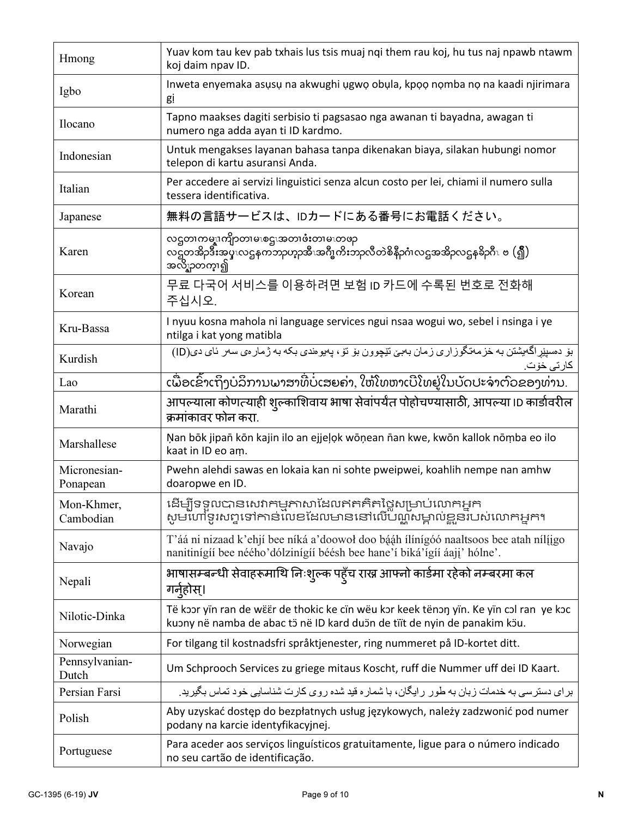| Hmong                    | Yuav kom tau kev pab txhais lus tsis muaj nqi them rau koj, hu tus naj npawb ntawm<br>koj daim npav ID.                                                             |
|--------------------------|---------------------------------------------------------------------------------------------------------------------------------------------------------------------|
| Igbo                     | Inweta enyemaka asusu na akwughi ugwo obula, kpoo nomba no na kaadi njirimara<br>gi                                                                                 |
| Ilocano                  | Tapno maakses dagiti serbisio ti pagsasao nga awanan ti bayadna, awagan ti<br>numero nga adda ayan ti ID kardmo.                                                    |
| Indonesian               | Untuk mengakses layanan bahasa tanpa dikenakan biaya, silakan hubungi nomor<br>telepon di kartu asuransi Anda.                                                      |
| Italian                  | Per accedere ai servizi linguistici senza alcun costo per lei, chiami il numero sulla<br>tessera identificativa.                                                    |
| Japanese                 | 無料の言語サービスは、IDカードにある番号にお電話ください。                                                                                                                                      |
| Karen                    | လဌတၢကမ္န။ကျိုာတၢမၤစဌၤအတၢဖံံးတၢမၤတဖာု<br>လဌတအိဉဒီးအပ္နလင္ခနကဘာဟာ့ဘီးအဂ်ီးတိုးဘာလီတဲစိနီဉဂံၤလဌအအိဉလဌနခ်ိဉဂိၤ ဗ (၍)<br>အလို့ဉတက္၊၍                                     |
| Korean                   | 무료 다국어 서비스를 이용하려면 보험 ID 카드에 수록된 번호로 전화해<br>주십시오.                                                                                                                    |
| Kru-Bassa                | I nyuu kosna mahola ni language services ngui nsaa wogui wo, sebel i nsinga i ye<br>ntilga i kat yong matibla                                                       |
| Kurdish                  | بۆ دەسبێراگەيشتن بە خزمەتگوزارى زمان بەبى تێچوون بۆ تۆ ، پەيوەندى بكە بە ژمارەي سەر ئاي دى(ID)<br>كارتى خۆت.                                                        |
| Lao                      | ເພື່ອເຂົ້າເຖິງບໍລິການພາສາທີ່ບໍ່ເສຍຄ່າ, ໃຫ້ໂທຫາເບີໂທຢູ່ໃນບັດປະຈຳຕົວຂອງທ່ານ.                                                                                          |
| Marathi                  | आपल्याला कोणत्याही शुल्काशिवाय भाषा सेवांपर्यंत पोहोचण्यासाठी, आपल्या ID कार्डावरील<br>क्रमांकावर फोन करा.                                                          |
| Marshallese              | Nan bōk jipañ kōn kajin ilo an ejjelok wōņean ñan kwe, kwōn kallok nōmba eo ilo<br>kaat in ID eo am.                                                                |
| Micronesian-<br>Ponapean | Pwehn alehdi sawas en lokaia kan ni sohte pweipwei, koahlih nempe nan amhw<br>doaropwe en ID.                                                                       |
| Mon-Khmer,<br>Cambodian  | ដើម្បីទទួលបានសេវាកម្មភាសាដែលឥតគិតថ្លៃសម្រាប់លោកអ្នក<br>សូមហៅទូរសព្វទៅកាន់លេខដែលមាននៅលើបណ្តសម្គាល់ខ្លួនរ៉ឺបស់លោកអ្នក។                                                |
| Navajo                   | T'áá ni nizaad k'ehjí bee níká a' doowol doo bááh ilinígóó naaltsoos bee atah nilíjgo<br>nanitinígií bee néého'dólzinígií béésh bee hane'í biká'ígíí áaji' hólne'.  |
| Nepali                   | भाषासम्बन्धी सेवाहरूमाथि निःशुल्क पहूँच राख्न आफ्नो कार्डमा रहेको नम्बरमा कल<br>गर्नुहोस्।                                                                          |
| Nilotic-Dinka            | Të koor yïn ran de wëër de thokic ke cïn wëu kor keek tënon yïn. Ke yïn col ran ye koc<br>kuony në namba de abac tö në ID kard duön de tiit de nyin de panakim köu. |
| Norwegian                | For tilgang til kostnadsfri språktjenester, ring nummeret på ID-kortet ditt.                                                                                        |
| Pennsylvanian-<br>Dutch  | Um Schprooch Services zu griege mitaus Koscht, ruff die Nummer uff dei ID Kaart.                                                                                    |
| Persian Farsi            | بر ای دستر سی به خدمات زبان به طور رایگان، با شمار ه قید شده روی کارت شناسایی خود نماس بگیرید.                                                                      |
| Polish                   | Aby uzyskać dostęp do bezpłatnych usług językowych, należy zadzwonić pod numer<br>podany na karcie identyfikacyjnej.                                                |
| Portuguese               | Para aceder aos serviços linguísticos gratuitamente, ligue para o número indicado<br>no seu cartão de identificação.                                                |